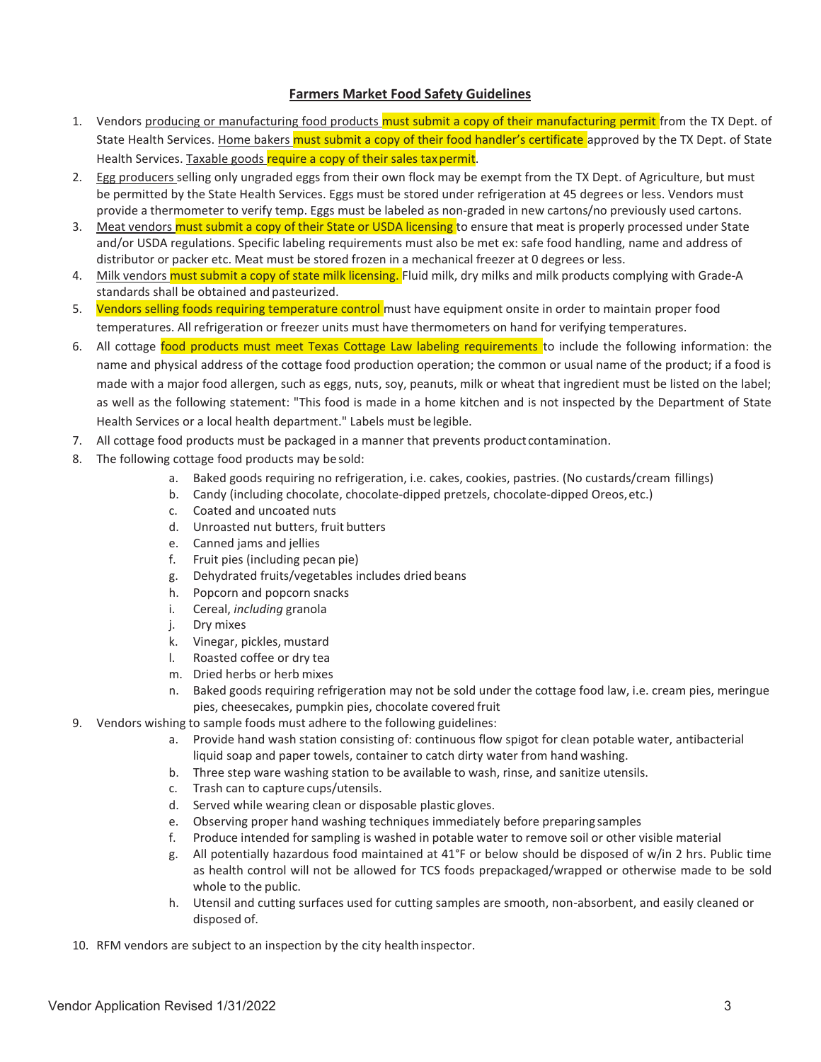#### **Farmers Market Food Safety Guidelines**

- 1. Vendors producing or manufacturing food products must submit a copy of their manufacturing permit from the TX Dept. of State Health Services. Home bakers must submit a copy of their food handler's certificate approved by the TX Dept. of State Health Services. Taxable goods require a copy of their sales tax permit.
- 2. Egg producers selling only ungraded eggs from their own flock may be exempt from the TX Dept. of Agriculture, but must be permitted by the State Health Services. Eggs must be stored under refrigeration at 45 degrees or less. Vendors must provide a thermometer to verify temp. Eggs must be labeled as non-graded in new cartons/no previously used cartons.
- 3. Meat vendors must submit a copy of their State or USDA licensing to ensure that meat is properly processed under State and/or USDA regulations. Specific labeling requirements must also be met ex: safe food handling, name and address of distributor or packer etc. Meat must be stored frozen in a mechanical freezer at 0 degrees or less.
- 4. Milk vendors must submit a copy of state milk licensing. Fluid milk, dry milks and milk products complying with Grade-A standards shall be obtained and pasteurized.
- 5. Vendors selling foods requiring temperature control must have equipment onsite in order to maintain proper food temperatures. All refrigeration or freezer units must have thermometers on hand for verifying temperatures.
- 6. All cottage food products must meet Texas Cottage Law labeling requirements to include the following information: the name and physical address of the cottage food production operation; the common or usual name of the product; if a food is made with a major food allergen, such as eggs, nuts, soy, peanuts, milk or wheat that ingredient must be listed on the label; as well as the following statement: "This food is made in a home kitchen and is not inspected by the Department of State Health Services or a local health department." Labels must be legible.
- 7. All cottage food products must be packaged in a manner that prevents product contamination.
- 8. The following cottage food products may be sold:
	- a. Baked goods requiring no refrigeration, i.e. cakes, cookies, pastries. (No custards/cream fillings)
	- b. Candy (including chocolate, chocolate-dipped pretzels, chocolate-dipped Oreos, etc.)
	- c. Coated and uncoated nuts
	- d. Unroasted nut butters, fruit butters
	- e. Canned jams and jellies
	- f. Fruit pies (including pecan pie)
	- g. Dehydrated fruits/vegetables includes dried beans
	- h. Popcorn and popcorn snacks
	- i. Cereal, *including* granola
	- j. Dry mixes
	-
	- k. Vinegar, pickles, mustard<br>I. Roasted coffee or drv tea Roasted coffee or dry tea
	- m. Dried herbs or herb mixes
	- n. Baked goods requiring refrigeration may not be sold under the cottage food law, i.e. cream pies, meringue pies, cheesecakes, pumpkin pies, chocolate covered fruit
- 9. Vendors wishing to sample foods must adhere to the following guidelines:
	- a. Provide hand wash station consisting of: continuous flow spigot for clean potable water, antibacterial liquid soap and paper towels, container to catch dirty water from hand washing.
	- b. Three step ware washing station to be available to wash, rinse, and sanitize utensils.
	- c. Trash can to capture cups/utensils.
	- d. Served while wearing clean or disposable plastic gloves.
	- e. Observing proper hand washing techniques immediately before preparing samples
	- f. Produce intended for sampling is washed in potable water to remove soil or other visible material
	- g. All potentially hazardous food maintained at 41°F or below should be disposed of w/in 2 hrs. Public time as health control will not be allowed for TCS foods prepackaged/wrapped or otherwise made to be sold whole to the public.
	- h. Utensil and cutting surfaces used for cutting samples are smooth, non-absorbent, and easily cleaned or disposed of.
- 10. RFM vendors are subject to an inspection by the city health inspector.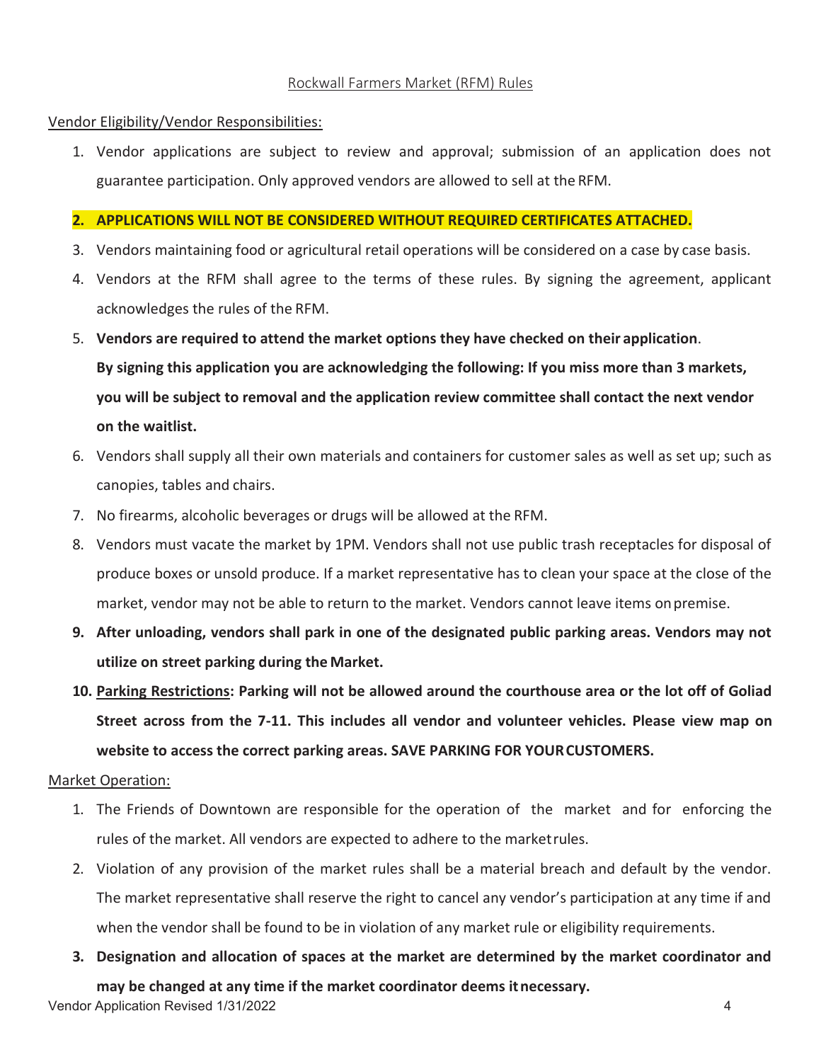# Rockwall Farmers Market (RFM) Rules

### Vendor Eligibility/Vendor Responsibilities:

1. Vendor applications are subject to review and approval; submission of an application does not guarantee participation. Only approved vendors are allowed to sell at the RFM.

## **2. APPLICATIONS WILL NOT BE CONSIDERED WITHOUT REQUIRED CERTIFICATES ATTACHED.**

- 3. Vendors maintaining food or agricultural retail operations will be considered on a case by case basis.
- 4. Vendors at the RFM shall agree to the terms of these rules. By signing the agreement, applicant acknowledges the rules of the RFM.
- 5. **Vendors are required to attend the market options they have checked on their application**. **By signing this application you are acknowledging the following: If you miss more than 3 markets, you will be subject to removal and the application review committee shall contact the next vendor on the waitlist.**
- 6. Vendors shall supply all their own materials and containers for customer sales as well as set up; such as canopies, tables and chairs.
- 7. No firearms, alcoholic beverages or drugs will be allowed at the RFM.
- 8. Vendors must vacate the market by 1PM. Vendors shall not use public trash receptacles for disposal of produce boxes or unsold produce. If a market representative has to clean your space at the close of the market, vendor may not be able to return to the market. Vendors cannot leave items on premise.
- **9. After unloading, vendors shall park in one of the designated public parking areas. Vendors may not utilize on street parking during the Market.**
- **10. Parking Restrictions: Parking will not be allowed around the courthouse area or the lot off of Goliad Street across from the 7-11. This includes all vendor and volunteer vehicles. Please view map on website to access the correct parking areas. SAVE PARKING FOR YOUR CUSTOMERS.**

### Market Operation:

- 1. The Friends of Downtown are responsible for the operation of the market and for enforcing the rules of the market. All vendors are expected to adhere to the market rules.
- 2. Violation of any provision of the market rules shall be a material breach and default by the vendor. The market representative shall reserve the right to cancel any vendor's participation at any time if and when the vendor shall be found to be in violation of any market rule or eligibility requirements.
- Vendor Application Revised 1/31/2022 4 **3. Designation and allocation of spaces at the market are determined by the market coordinator and may be changed at any time if the market coordinator deems it necessary.**